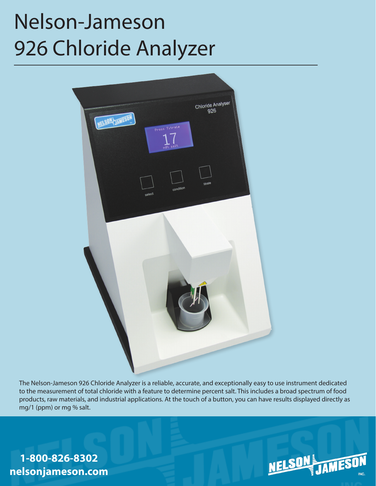# Nelson-Jameson 926 Chloride Analyzer



The Nelson-Jameson 926 Chloride Analyzer is a reliable, accurate, and exceptionally easy to use instrument dedicated to the measurement of total chloride with a feature to determine percent salt. This includes a broad spectrum of food products, raw materials, and industrial applications. At the touch of a button, you can have results displayed directly as mg/1 (ppm) or mg % salt.

**1-800-826-8302 nelsonjameson.com**